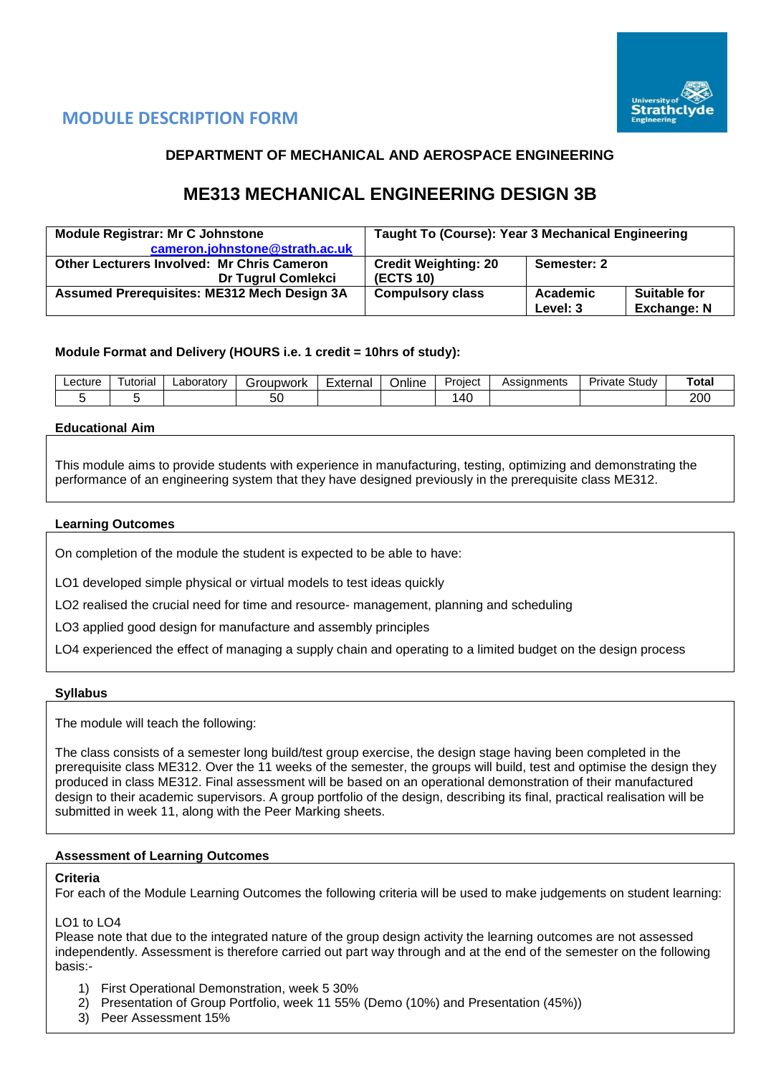

# **MODULE DESCRIPTION FORM**

## **DEPARTMENT OF MECHANICAL AND AEROSPACE ENGINEERING**

# **ME313 MECHANICAL ENGINEERING DESIGN 3B**

| <b>Module Registrar: Mr C Johnstone</b><br>cameron.johnstone@strath.ac.uk      | Taught To (Course): Year 3 Mechanical Engineering |                      |                                           |  |  |
|--------------------------------------------------------------------------------|---------------------------------------------------|----------------------|-------------------------------------------|--|--|
| <b>Other Lecturers Involved: Mr Chris Cameron</b><br><b>Dr Tugrul Comlekci</b> | <b>Credit Weighting: 20</b><br>(ECTS 10)          | Semester: 2          |                                           |  |  |
| <b>Assumed Prerequisites: ME312 Mech Design 3A</b>                             | <b>Compulsory class</b>                           | Academic<br>Level: 3 | <b>Suitable for</b><br><b>Exchange: N</b> |  |  |

### **Module Format and Delivery (HOURS i.e. 1 credit = 10hrs of study):**

| Lecture | utorial | ∟aboratorv | iroupwork<br>эľ | External | <br>-<br>Online | -<br>Project     | Assignments | Study<br>Private | Tota. |
|---------|---------|------------|-----------------|----------|-----------------|------------------|-------------|------------------|-------|
|         |         |            | ວບ              |          |                 | $\Lambda'$<br>᠇៴ |             |                  | 200   |

### **Educational Aim**

This module aims to provide students with experience in manufacturing, testing, optimizing and demonstrating the performance of an engineering system that they have designed previously in the prerequisite class ME312.

### **Learning Outcomes**

On completion of the module the student is expected to be able to have:

LO1 developed simple physical or virtual models to test ideas quickly

LO2 realised the crucial need for time and resource- management, planning and scheduling

LO3 applied good design for manufacture and assembly principles

LO4 experienced the effect of managing a supply chain and operating to a limited budget on the design process

### **Syllabus**

The module will teach the following:

The class consists of a semester long build/test group exercise, the design stage having been completed in the prerequisite class ME312. Over the 11 weeks of the semester, the groups will build, test and optimise the design they produced in class ME312. Final assessment will be based on an operational demonstration of their manufactured design to their academic supervisors. A group portfolio of the design, describing its final, practical realisation will be submitted in week 11, along with the Peer Marking sheets.

### **Assessment of Learning Outcomes**

### **Criteria**

For each of the Module Learning Outcomes the following criteria will be used to make judgements on student learning:

### LO1 to LO4

Please note that due to the integrated nature of the group design activity the learning outcomes are not assessed independently. Assessment is therefore carried out part way through and at the end of the semester on the following basis:-

- 1) First Operational Demonstration, week 5 30%
- 2) Presentation of Group Portfolio, week 11 55% (Demo (10%) and Presentation (45%))
- 3) Peer Assessment 15%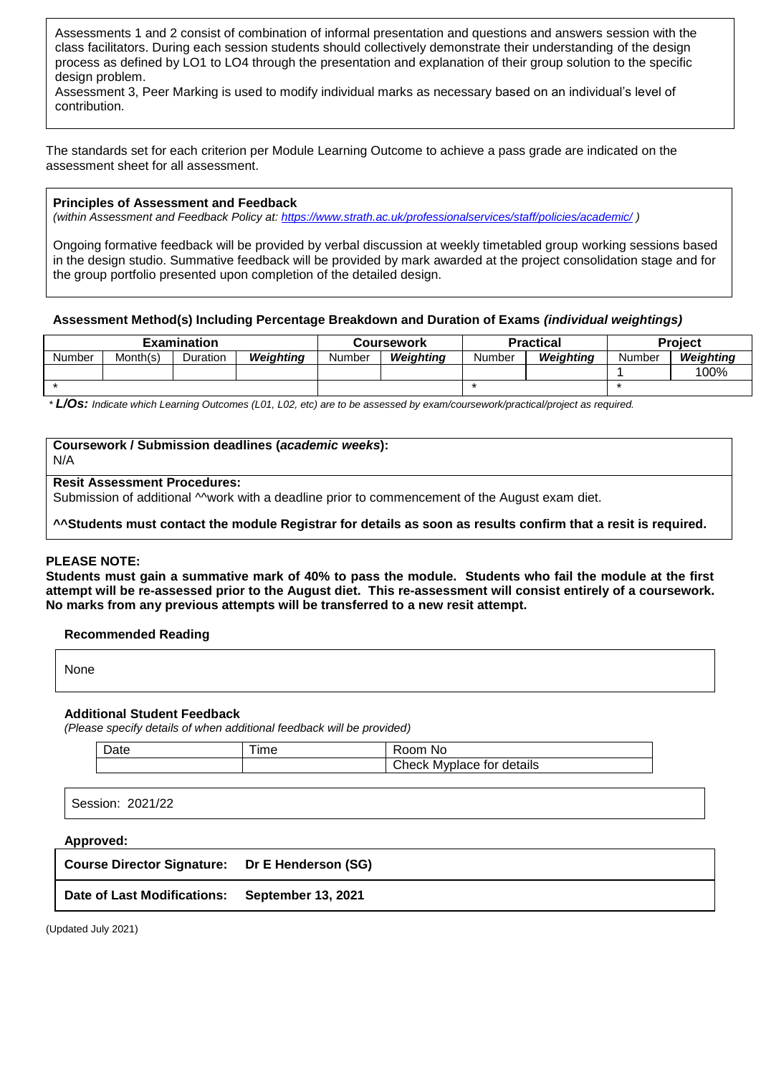Assessments 1 and 2 consist of combination of informal presentation and questions and answers session with the class facilitators. During each session students should collectively demonstrate their understanding of the design process as defined by LO1 to LO4 through the presentation and explanation of their group solution to the specific design problem.

Assessment 3, Peer Marking is used to modify individual marks as necessary based on an individual's level of contribution.

The standards set for each criterion per Module Learning Outcome to achieve a pass grade are indicated on the assessment sheet for all assessment.

### **Principles of Assessment and Feedback**

*(within Assessment and Feedback Policy at: <https://www.strath.ac.uk/professionalservices/staff/policies/academic/> )*

Ongoing formative feedback will be provided by verbal discussion at weekly timetabled group working sessions based in the design studio. Summative feedback will be provided by mark awarded at the project consolidation stage and for the group portfolio presented upon completion of the detailed design.

### **Assessment Method(s) Including Percentage Breakdown and Duration of Exams** *(individual weightings)*

|        | <b>Examination</b> |          |           | <b>Coursework</b> |           | <b>Practical</b> |           |        | <b>Project</b> |  |  |
|--------|--------------------|----------|-----------|-------------------|-----------|------------------|-----------|--------|----------------|--|--|
| Number | Month(s)           | Duration | Weighting | Number            | Weighting | Number           | Weighting | Number | Weighting      |  |  |
|        |                    |          |           |                   |           |                  |           |        | 100%           |  |  |
|        |                    |          |           |                   |           |                  |           |        |                |  |  |

*\* L/Os: Indicate which Learning Outcomes (L01, L02, etc) are to be assessed by exam/coursework/practical/project as required.*

### **Coursework / Submission deadlines (***academic weeks***):**

N/A

#### **Resit Assessment Procedures:**

Submission of additional Mwork with a deadline prior to commencement of the August exam diet.

**^^Students must contact the module Registrar for details as soon as results confirm that a resit is required.**

### **PLEASE NOTE:**

**Students must gain a summative mark of 40% to pass the module. Students who fail the module at the first attempt will be re-assessed prior to the August diet. This re-assessment will consist entirely of a coursework. No marks from any previous attempts will be transferred to a new resit attempt.**

### **Recommended Reading**

| <b>None</b> |  |  |  |
|-------------|--|--|--|
|             |  |  |  |

### **Additional Student Feedback**

*(Please specify details of when additional feedback will be provided)*

|  | ıme | noc<br>N0                       |
|--|-----|---------------------------------|
|  |     | details<br>Myplace for<br>∠heck |

Session: 2021/22

### **Approved:**

| <b>Course Director Signature:</b> | Dr E Henderson (SG) |  |
|-----------------------------------|---------------------|--|
|-----------------------------------|---------------------|--|

### **Date of Last Modifications: September 13, 2021**

(Updated July 2021)